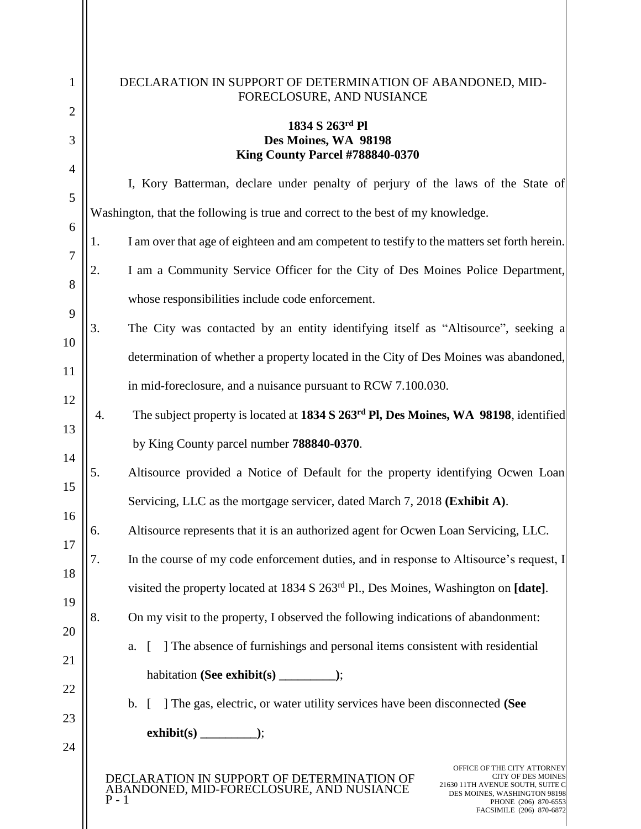| 1<br>$\overline{2}$           | DECLARATION IN SUPPORT OF DETERMINATION OF ABANDONED, MID-<br>FORECLOSURE, AND NUSIANCE                                                                                                                                                                                                                                                                         |  |  |  |
|-------------------------------|-----------------------------------------------------------------------------------------------------------------------------------------------------------------------------------------------------------------------------------------------------------------------------------------------------------------------------------------------------------------|--|--|--|
| 3                             | 1834 S 263rd Pl<br>Des Moines, WA 98198<br>King County Parcel #788840-0370                                                                                                                                                                                                                                                                                      |  |  |  |
| $\overline{4}$<br>5<br>6<br>7 | I, Kory Batterman, declare under penalty of perjury of the laws of the State of<br>Washington, that the following is true and correct to the best of my knowledge.<br>I am over that age of eighteen and am competent to testify to the matters set forth herein.<br>1.<br>I am a Community Service Officer for the City of Des Moines Police Department,<br>2. |  |  |  |
| 8<br>9                        | whose responsibilities include code enforcement.                                                                                                                                                                                                                                                                                                                |  |  |  |
| 10<br>11                      | 3.<br>The City was contacted by an entity identifying itself as "Altisource", seeking a<br>determination of whether a property located in the City of Des Moines was abandoned,                                                                                                                                                                                 |  |  |  |
| 12                            | in mid-foreclosure, and a nuisance pursuant to RCW 7.100.030.<br>The subject property is located at 1834 S 263 <sup>rd</sup> Pl, Des Moines, WA 98198, identified<br>4.                                                                                                                                                                                         |  |  |  |
| 13<br>14                      | by King County parcel number 788840-0370.                                                                                                                                                                                                                                                                                                                       |  |  |  |
| 15<br>16                      | Altisource provided a Notice of Default for the property identifying Ocwen Loan<br>5.<br>Servicing, LLC as the mortgage servicer, dated March 7, 2018 (Exhibit A).                                                                                                                                                                                              |  |  |  |
| 17                            | Altisource represents that it is an authorized agent for Ocwen Loan Servicing, LLC.<br>6.<br>7.<br>In the course of my code enforcement duties, and in response to Altisource's request, I                                                                                                                                                                      |  |  |  |
| 18<br>19                      | visited the property located at 1834 S 263 <sup>rd</sup> Pl., Des Moines, Washington on [date].                                                                                                                                                                                                                                                                 |  |  |  |
| 20<br>21                      | 8.<br>On my visit to the property, I observed the following indications of abandonment:<br>The absence of furnishings and personal items consistent with residential<br>a.                                                                                                                                                                                      |  |  |  |
| 22<br>23                      | ] The gas, electric, or water utility services have been disconnected (See<br>$\mathbf{b}$ .<br>$\Gamma$                                                                                                                                                                                                                                                        |  |  |  |
| 24                            |                                                                                                                                                                                                                                                                                                                                                                 |  |  |  |
|                               | OFFICE OF THE CITY ATTORNEY<br><b>CITY OF DES MOINES</b><br>DECLARATION IN SUPPORT OF DETERMINATION OF<br>21630 11TH AVENUE SOUTH, SUITE C<br>ABANDONED, MID-FORECLOSURE, AND NUSIANCE<br>DES MOINES, WASHINGTON 98198<br>$P - 1$<br>PHONE (206) 870-6553<br>FACSIMILE (206) 870-6872                                                                           |  |  |  |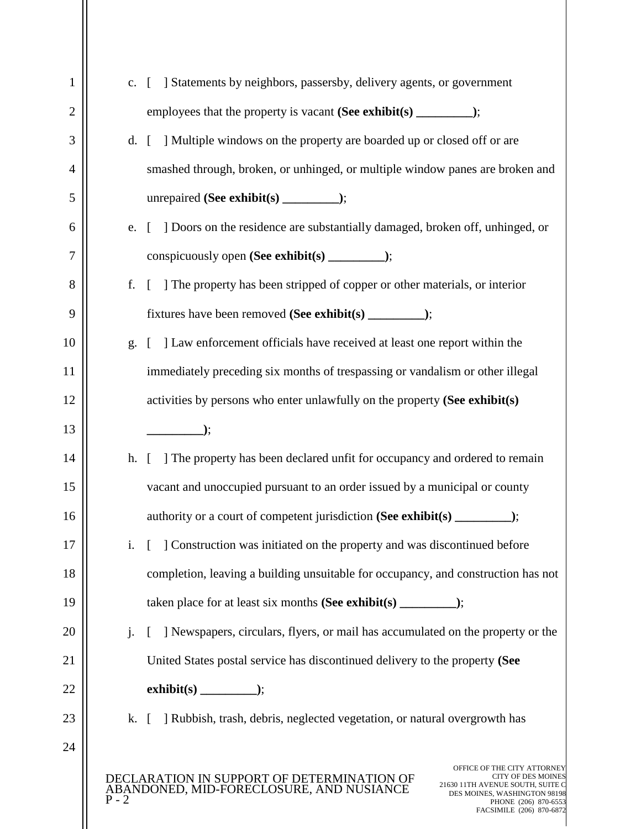| $\mathbf{1}$ | c.                                                                                | [ ] Statements by neighbors, passersby, delivery agents, or government                                                                                                                                                                                                   |  |  |  |
|--------------|-----------------------------------------------------------------------------------|--------------------------------------------------------------------------------------------------------------------------------------------------------------------------------------------------------------------------------------------------------------------------|--|--|--|
| 2            |                                                                                   |                                                                                                                                                                                                                                                                          |  |  |  |
| 3            | d.                                                                                | [ ] Multiple windows on the property are boarded up or closed off or are                                                                                                                                                                                                 |  |  |  |
| 4            |                                                                                   | smashed through, broken, or unhinged, or multiple window panes are broken and                                                                                                                                                                                            |  |  |  |
| 5            |                                                                                   |                                                                                                                                                                                                                                                                          |  |  |  |
| 6            | e.                                                                                | ] Doors on the residence are substantially damaged, broken off, unhinged, or<br>$\lceil$                                                                                                                                                                                 |  |  |  |
| 7            |                                                                                   |                                                                                                                                                                                                                                                                          |  |  |  |
| 8            | f.                                                                                | [ ] The property has been stripped of copper or other materials, or interior                                                                                                                                                                                             |  |  |  |
| 9            |                                                                                   |                                                                                                                                                                                                                                                                          |  |  |  |
| 10           | g.                                                                                | ] Law enforcement officials have received at least one report within the                                                                                                                                                                                                 |  |  |  |
| 11           |                                                                                   | immediately preceding six months of trespassing or vandalism or other illegal                                                                                                                                                                                            |  |  |  |
| 12           |                                                                                   | activities by persons who enter unlawfully on the property (See exhibit(s)                                                                                                                                                                                               |  |  |  |
| 13           |                                                                                   | $\qquad \qquad$ );                                                                                                                                                                                                                                                       |  |  |  |
| 14           | h.                                                                                | [ ] The property has been declared unfit for occupancy and ordered to remain                                                                                                                                                                                             |  |  |  |
| 15           | vacant and unoccupied pursuant to an order issued by a municipal or county        |                                                                                                                                                                                                                                                                          |  |  |  |
| 16           |                                                                                   |                                                                                                                                                                                                                                                                          |  |  |  |
| 17           | $\mathbf{i}$ .                                                                    | Construction was initiated on the property and was discontinued before                                                                                                                                                                                                   |  |  |  |
| 18           | completion, leaving a building unsuitable for occupancy, and construction has not |                                                                                                                                                                                                                                                                          |  |  |  |
| 19           |                                                                                   |                                                                                                                                                                                                                                                                          |  |  |  |
| 20           | $\mathbf{i}$ .                                                                    | [ ] Newspapers, circulars, flyers, or mail has accumulated on the property or the                                                                                                                                                                                        |  |  |  |
| 21           |                                                                                   | United States postal service has discontinued delivery to the property (See                                                                                                                                                                                              |  |  |  |
| 22           |                                                                                   |                                                                                                                                                                                                                                                                          |  |  |  |
| 23           |                                                                                   | k. [ ] Rubbish, trash, debris, neglected vegetation, or natural overgrowth has                                                                                                                                                                                           |  |  |  |
| 24           |                                                                                   |                                                                                                                                                                                                                                                                          |  |  |  |
|              | $P - 2$                                                                           | OFFICE OF THE CITY ATTORNEY<br><b>CITY OF DES MOINES</b><br>CLARATION IN SUPPORT OF DETERMINATION OF<br>21630 11TH AVENUE SOUTH, SUITE C<br>ABANDONED, MID-FORECLOSURE, AND NUSIANCE<br>DES MOINES, WASHINGTON 98198<br>PHONE (206) 870-6553<br>FACSIMILE (206) 870-6872 |  |  |  |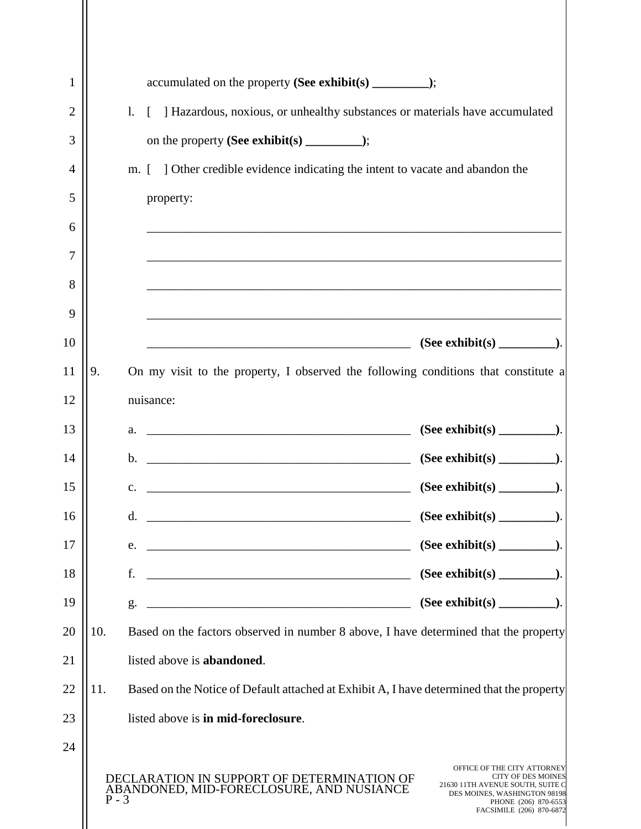| 1<br>2<br>3<br>4<br>5<br>6 |         | ] Hazardous, noxious, or unhealthy substances or materials have accumulated<br>$\mathbf{l}$ .<br>L<br>] Other credible evidence indicating the intent to vacate and abandon the<br>$\Box$<br>m.<br>property: |                                                                                                                                                                                  |
|----------------------------|---------|--------------------------------------------------------------------------------------------------------------------------------------------------------------------------------------------------------------|----------------------------------------------------------------------------------------------------------------------------------------------------------------------------------|
| 7<br>8                     |         | <u> 1989 - Johann Barn, amerikan berkema dalam berkema dalam berkema dalam berkema dalam berkema dalam berkema da</u>                                                                                        |                                                                                                                                                                                  |
| 9                          |         |                                                                                                                                                                                                              |                                                                                                                                                                                  |
| 10                         |         |                                                                                                                                                                                                              |                                                                                                                                                                                  |
| 11                         | 9.      | On my visit to the property, I observed the following conditions that constitute a                                                                                                                           |                                                                                                                                                                                  |
| 12                         |         | nuisance:                                                                                                                                                                                                    |                                                                                                                                                                                  |
| 13                         |         | <u> 1989 - Johann Barbara, martin amerikan basal dan berasal dalam basal dalam basal dalam basal dalam basal dala</u><br>a.                                                                                  |                                                                                                                                                                                  |
| 14                         |         | b.                                                                                                                                                                                                           |                                                                                                                                                                                  |
| 15                         |         | <u> 1989 - Johann Barn, amerikansk politiker (</u><br>$\mathbf{c}$ .                                                                                                                                         |                                                                                                                                                                                  |
| 16                         |         | $\mathbf{d}$ .                                                                                                                                                                                               |                                                                                                                                                                                  |
| 17                         |         | e.                                                                                                                                                                                                           |                                                                                                                                                                                  |
| 18                         |         | f.                                                                                                                                                                                                           |                                                                                                                                                                                  |
| 19                         |         | <u> 2000 - 2000 - 2000 - 2000 - 2000 - 2000 - 2000 - 2000 - 2000 - 2000 - 2000 - 2000 - 2000 - 2000 - 2000 - 200</u><br>g.                                                                                   |                                                                                                                                                                                  |
| 20                         | 10.     | Based on the factors observed in number 8 above, I have determined that the property                                                                                                                         |                                                                                                                                                                                  |
| 21                         |         | listed above is <b>abandoned</b> .                                                                                                                                                                           |                                                                                                                                                                                  |
| 22                         | 11.     | Based on the Notice of Default attached at Exhibit A, I have determined that the property                                                                                                                    |                                                                                                                                                                                  |
| 23                         |         | listed above is in mid-foreclosure.                                                                                                                                                                          |                                                                                                                                                                                  |
| 24                         | $P - 3$ | DECLARATION IN SUPPORT OF DETERMINATION OF<br>ABANDONED, MID-FORECLOSURE, AND NUSIANCE                                                                                                                       | OFFICE OF THE CITY ATTORNEY<br><b>CITY OF DES MOINES</b><br>21630 11TH AVENUE SOUTH, SUITE C<br>DES MOINES, WASHINGTON 98198<br>PHONE (206) 870-6553<br>FACSIMILE (206) 870-6872 |